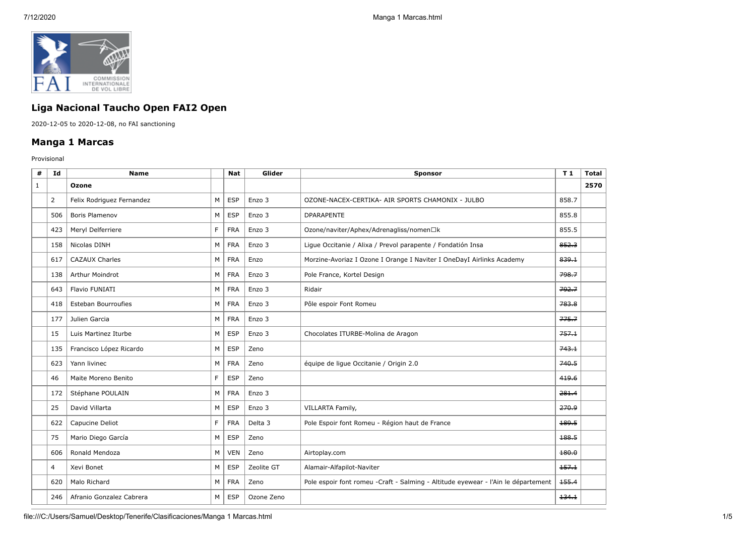

## **Liga Nacional Taucho Open FAI2 Open**

2020-12-05 to 2020-12-08, no FAI sanctioning

## **Manga 1 Marcas**

Provisional

| #            | Id             | <b>Name</b>               |    | <b>Nat</b> | Glider     | <b>Sponsor</b>                                                                     | T1    | <b>Total</b> |
|--------------|----------------|---------------------------|----|------------|------------|------------------------------------------------------------------------------------|-------|--------------|
| $\mathbf{1}$ |                | Ozone                     |    |            |            |                                                                                    |       | 2570         |
|              | $\overline{2}$ | Felix Rodriguez Fernandez | M  | <b>ESP</b> | Enzo 3     | OZONE-NACEX-CERTIKA- AIR SPORTS CHAMONIX - JULBO                                   | 858.7 |              |
|              | 506            | <b>Boris Plamenov</b>     | M  | <b>ESP</b> | Enzo 3     | <b>DPARAPENTE</b>                                                                  | 855.8 |              |
|              | 423            | Meryl Delferriere         | F  | <b>FRA</b> | Enzo 3     | Ozone/naviter/Aphex/Adrenagliss/nomen□k                                            | 855.5 |              |
|              | 158            | Nicolas DINH              | M  | <b>FRA</b> | Enzo 3     | Ligue Occitanie / Alixa / Prevol parapente / Fondatión Insa                        | 852.3 |              |
|              | 617            | <b>CAZAUX Charles</b>     | М  | <b>FRA</b> | Enzo       | Morzine-Avoriaz I Ozone I Orange I Naviter I OneDayI Airlinks Academy              | 839.1 |              |
|              | 138            | Arthur Moindrot           | M  | <b>FRA</b> | Enzo 3     | Pole France, Kortel Design                                                         | 798.7 |              |
|              | 643            | Flavio FUNIATI            | M  | <b>FRA</b> | Enzo 3     | Ridair                                                                             | 792.7 |              |
|              | 418            | Esteban Bourroufies       | M  | <b>FRA</b> | Enzo 3     | Pôle espoir Font Romeu                                                             | 783.8 |              |
|              | 177            | Julien Garcia             | М  | <b>FRA</b> | Enzo 3     |                                                                                    | 775.7 |              |
|              | 15             | Luis Martinez Iturbe      | M  | <b>ESP</b> | Enzo 3     | Chocolates ITURBE-Molina de Aragon                                                 | 757.1 |              |
|              | 135            | Francisco López Ricardo   | M  | <b>ESP</b> | Zeno       |                                                                                    | 743.1 |              |
|              | 623            | Yann livinec              | M  | <b>FRA</b> | Zeno       | équipe de ligue Occitanie / Origin 2.0                                             | 740.5 |              |
|              | 46             | Maite Moreno Benito       | F. | <b>ESP</b> | Zeno       |                                                                                    | 419.6 |              |
|              | 172            | Stéphane POULAIN          | M  | <b>FRA</b> | Enzo 3     |                                                                                    | 281.4 |              |
|              | 25             | David Villarta            | M  | <b>ESP</b> | Enzo 3     | VILLARTA Family,                                                                   | 270.9 |              |
|              | 622            | Capucine Deliot           | F. | <b>FRA</b> | Delta 3    | Pole Espoir font Romeu - Région haut de France                                     | 189.5 |              |
|              | 75             | Mario Diego García        | M  | <b>ESP</b> | Zeno       |                                                                                    | 188.5 |              |
|              | 606            | Ronald Mendoza            | M  | <b>VEN</b> | Zeno       | Airtoplay.com                                                                      | 180.0 |              |
|              | 4              | Xevi Bonet                | M  | <b>ESP</b> | Zeolite GT | Alamair-Alfapilot-Naviter                                                          | 157.1 |              |
|              | 620            | Malo Richard              | М  | <b>FRA</b> | Zeno       | Pole espoir font romeu - Craft - Salming - Altitude eyewear - l'Ain le département | 155.4 |              |
|              | 246            | Afranio Gonzalez Cabrera  | M  | <b>ESP</b> | Ozone Zeno |                                                                                    | 134.1 |              |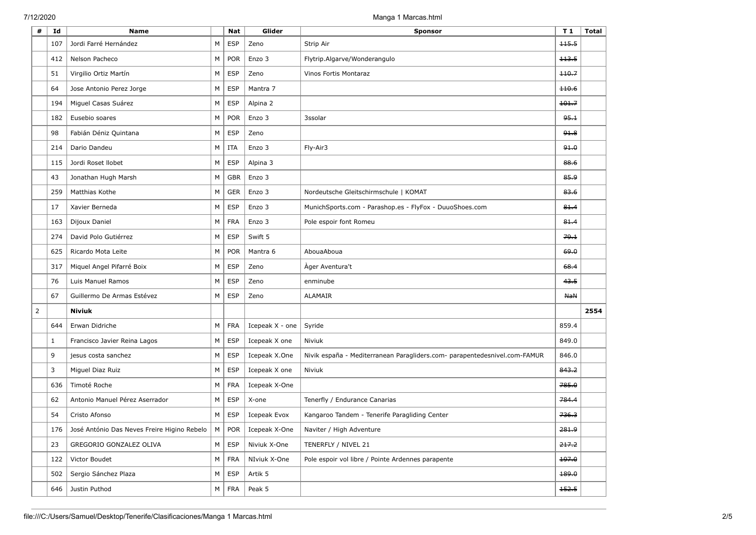| #              | Id           | <b>Name</b>                                           |   | <b>Nat</b> | Glider          | <b>Sponsor</b>                                                            | T <sub>1</sub> | <b>Total</b> |
|----------------|--------------|-------------------------------------------------------|---|------------|-----------------|---------------------------------------------------------------------------|----------------|--------------|
|                | 107          | Jordi Farré Hernández                                 | M | <b>ESP</b> | Zeno            | Strip Air                                                                 | 115.5          |              |
|                | 412          | Nelson Pacheco                                        | M | <b>POR</b> | Enzo 3          | Flytrip.Algarve/Wonderangulo                                              | 113.5          |              |
|                | 51           | Virgilio Ortiz Martín                                 | M | <b>ESP</b> | Zeno            | Vinos Fortis Montaraz                                                     | 110.7          |              |
|                | 64           | Jose Antonio Perez Jorge                              | M | <b>ESP</b> | Mantra 7        |                                                                           | 110.6          |              |
|                | 194          | Miguel Casas Suárez                                   | М | <b>ESP</b> | Alpina 2        |                                                                           | 101.7          |              |
|                | 182          | Eusebio soares                                        | M | <b>POR</b> | Enzo 3          | 3ssolar                                                                   | 95.1           |              |
|                | 98           | Fabián Déniz Quintana                                 | M | <b>ESP</b> | Zeno            |                                                                           | 91.8           |              |
|                | 214          | Dario Dandeu                                          | M | <b>ITA</b> | Enzo 3          | Fly-Air3                                                                  | 91.0           |              |
|                | 115          | Jordi Roset Ilobet                                    | М | <b>ESP</b> | Alpina 3        |                                                                           | 88.6           |              |
|                | 43           | Jonathan Hugh Marsh                                   | M | <b>GBR</b> | Enzo 3          |                                                                           | 85.9           |              |
|                | 259          | Matthias Kothe                                        | M | <b>GER</b> | Enzo 3          | Nordeutsche Gleitschirmschule   KOMAT                                     | 83.6           |              |
|                | 17           | Xavier Berneda                                        | M | <b>ESP</b> | Enzo 3          | MunichSports.com - Parashop.es - FlyFox - DuuoShoes.com                   | 81.4           |              |
|                | 163          | Dijoux Daniel                                         | M | <b>FRA</b> | Enzo 3          | Pole espoir font Romeu                                                    | 81.4           |              |
|                | 274          | David Polo Gutiérrez                                  | M | <b>ESP</b> | Swift 5         |                                                                           | 79.1           |              |
|                | 625          | Ricardo Mota Leite                                    | M | <b>POR</b> | Mantra 6        | AbouaAboua                                                                | 69.0           |              |
|                | 317          | Miquel Angel Pifarré Boix                             | M | <b>ESP</b> | Zeno            | Àger Aventura't                                                           | 68.4           |              |
|                | 76           | Luis Manuel Ramos                                     | М | <b>ESP</b> | Zeno            | enminube                                                                  | 43.5           |              |
|                | 67           | Guillermo De Armas Estévez                            | M | <b>ESP</b> | Zeno            | ALAMAIR                                                                   | <b>NaN</b>     |              |
| $\overline{2}$ |              | <b>Niviuk</b>                                         |   |            |                 |                                                                           |                | 2554         |
|                | 644          | Erwan Didriche                                        | M | <b>FRA</b> | Icepeak X - one | Syride                                                                    | 859.4          |              |
|                | $\mathbf{1}$ | Francisco Javier Reina Lagos                          | M | <b>ESP</b> | Icepeak X one   | Niviuk                                                                    | 849.0          |              |
|                | 9            | jesus costa sanchez                                   | M | <b>ESP</b> | Icepeak X.One   | Nivik españa - Mediterranean Paragliders.com- parapentedesnivel.com-FAMUR | 846.0          |              |
|                | 3            | Miguel Diaz Ruiz                                      | M | <b>ESP</b> | Icepeak X one   | Niviuk                                                                    | 843.2          |              |
|                | 636          | Timoté Roche                                          | M | <b>FRA</b> | Icepeak X-One   |                                                                           | 785.0          |              |
|                | 62           | Antonio Manuel Pérez Aserrador                        | М | <b>ESP</b> | X-one           | Tenerfly / Endurance Canarias                                             | 784.4          |              |
|                | 54           | Cristo Afonso                                         | M | <b>ESP</b> | Icepeak Evox    | Kangaroo Tandem - Tenerife Paragliding Center                             | 736.3          |              |
|                | 176          | José António Das Neves Freire Higino Rebelo   M   POR |   |            | Icepeak X-One   | Naviter / High Adventure                                                  | 281.9          |              |
|                | 23           | GREGORIO GONZALEZ OLIVA                               | M | <b>ESP</b> | Niviuk X-One    | TENERFLY / NIVEL 21                                                       | 217.2          |              |
|                | 122          | Victor Boudet                                         | M | <b>FRA</b> | NIviuk X-One    | Pole espoir vol libre / Pointe Ardennes parapente                         | 197.0          |              |
|                | 502          | Sergio Sánchez Plaza                                  | М | <b>ESP</b> | Artik 5         |                                                                           | 189.0          |              |
|                | 646          | Justin Puthod                                         | М | <b>FRA</b> | Peak 5          |                                                                           | 152.5          |              |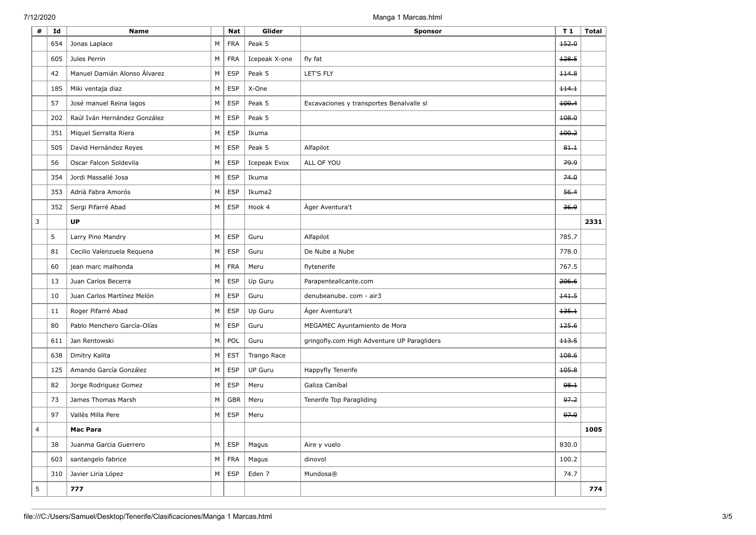| # | Id  | <b>Name</b>                  |   | <b>Nat</b> | Glider         | <b>Sponsor</b>                              | T <sub>1</sub> | <b>Total</b> |
|---|-----|------------------------------|---|------------|----------------|---------------------------------------------|----------------|--------------|
|   | 654 | Jonas Laplace                | М | <b>FRA</b> | Peak 5         |                                             | 152.0          |              |
|   | 605 | Jules Perrin                 | М | <b>FRA</b> | Icepeak X-one  | fly fat                                     | 128.5          |              |
|   | 42  | Manuel Damián Alonso Álvarez | M | <b>ESP</b> | Peak 5         | LET'S FLY                                   | 114.8          |              |
|   | 185 | Miki ventaja diaz            | М | <b>ESP</b> | X-One          |                                             | 114.1          |              |
|   | 57  | José manuel Reina lagos      | M | <b>ESP</b> | Peak 5         | Excavaciones y transportes Benalvalle sl    | 109.4          |              |
|   | 202 | Raúl Iván Hernández González | М | <b>ESP</b> | Peak 5         |                                             | 108.0          |              |
|   | 351 | Miquel Serralta Riera        | M | <b>ESP</b> | Ikuma          |                                             | 100.2          |              |
|   | 505 | David Hernández Reyes        | М | <b>ESP</b> | Peak 5         | Alfapilot                                   | 84.1           |              |
|   | 56  | Oscar Falcon Soldevila       | М | <b>ESP</b> | Icepeak Evox   | ALL OF YOU                                  | وبوج           |              |
|   | 354 | Jordi Massallé Josa          | М | <b>ESP</b> | Ikuma          |                                             | 74.0           |              |
|   | 353 | Adrià Fabra Amorós           | M | <b>ESP</b> | Ikuma2         |                                             | 56.4           |              |
|   | 352 | Sergi Pifarré Abad           | M | <b>ESP</b> | Hook 4         | Àger Aventura't                             | 36.9           |              |
| 3 |     | <b>UP</b>                    |   |            |                |                                             |                | 2331         |
|   | 5   | Larry Pino Mandry            | М | <b>ESP</b> | Guru           | Alfapilot                                   | 785.7          |              |
|   | 81  | Cecilio Valenzuela Reguena   | М | <b>ESP</b> | Guru           | De Nube a Nube                              | 778.0          |              |
|   | 60  | jean marc malhonda           | M | <b>FRA</b> | Meru           | flytenerife                                 | 767.5          |              |
|   | 13  | Juan Carlos Becerra          | M | <b>ESP</b> | Up Guru        | Parapentealicante.com                       | 206.6          |              |
|   | 10  | Juan Carlos Martínez Melón   | М | <b>ESP</b> | Guru           | denubeanube. com - air3                     | 141.5          |              |
|   | 11  | Roger Pifarré Abad           | М | <b>ESP</b> | Up Guru        | Ager Aventura't                             | 135.1          |              |
|   | 80  | Pablo Menchero García-Olías  | М | <b>ESP</b> | Guru           | MEGAMEC Ayuntamiento de Mora                | 125.6          |              |
|   | 611 | Jan Rentowski                | М | POL        | Guru           | gringofly.com High Adventure UP Paragliders | 113.5          |              |
|   | 638 | Dmitry Kalita                | М | <b>EST</b> | Trango Race    |                                             | 108.6          |              |
|   | 125 | Amando García González       | M | <b>ESP</b> | <b>UP Guru</b> | Happyfly Tenerife                           | 105.8          |              |
|   | 82  | Jorge Rodriguez Gomez        | М | <b>ESP</b> | Meru           | Galiza Caníbal                              | 98.1           |              |
|   | 73  | James Thomas Marsh           | М | <b>GBR</b> | Meru           | Tenerife Top Paragliding                    | 97.2           |              |
|   | 97  | Vallès Milla Pere            | M | <b>ESP</b> | Meru           |                                             | 97.0           |              |
|   |     | <b>Mac Para</b>              |   |            |                |                                             |                | 1005         |
|   | 38  | Juanma Garcia Guerrero       | M | <b>ESP</b> | Magus          | Aire y vuelo                                | 830.0          |              |
|   | 603 | santangelo fabrice           | M | <b>FRA</b> | Magus          | dinovol                                     | 100.2          |              |
|   | 310 | Javier Liria López           | M | <b>ESP</b> | Eden 7         | Mundosa®                                    | 74.7           |              |
| 5 |     | 777                          |   |            |                |                                             |                | 774          |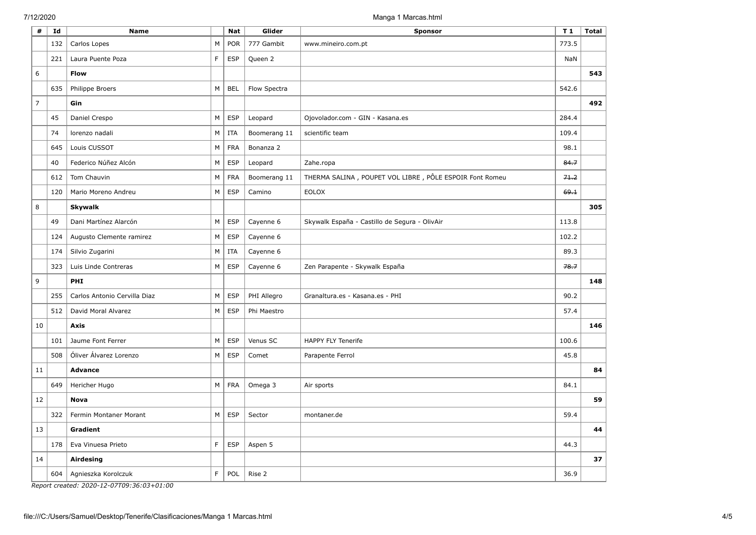| #              | Id  | <b>Name</b>                  |   | <b>Nat</b> | Glider       | <b>Sponsor</b>                                          | T <sub>1</sub> | <b>Total</b> |
|----------------|-----|------------------------------|---|------------|--------------|---------------------------------------------------------|----------------|--------------|
|                | 132 | Carlos Lopes                 | M | <b>POR</b> | 777 Gambit   | www.mineiro.com.pt                                      | 773.5          |              |
|                | 221 | Laura Puente Poza            | F | <b>ESP</b> | Queen 2      |                                                         | NaN            |              |
| 6              |     | <b>Flow</b>                  |   |            |              |                                                         |                | 543          |
|                | 635 | Philippe Broers              | M | <b>BEL</b> | Flow Spectra |                                                         | 542.6          |              |
| $\overline{7}$ |     | Gin                          |   |            |              |                                                         |                | 492          |
|                | 45  | Daniel Crespo                | М | <b>ESP</b> | Leopard      | Ojovolador.com - GIN - Kasana.es                        | 284.4          |              |
|                | 74  | lorenzo nadali               | M | <b>ITA</b> | Boomerang 11 | scientific team                                         | 109.4          |              |
|                | 645 | Louis CUSSOT                 | M | <b>FRA</b> | Bonanza 2    |                                                         | 98.1           |              |
|                | 40  | Federico Núñez Alcón         | M | <b>ESP</b> | Leopard      | Zahe.ropa                                               | 84.7           |              |
|                | 612 | Tom Chauvin                  | М | <b>FRA</b> | Boomerang 11 | THERMA SALINA, POUPET VOL LIBRE, PÔLE ESPOIR Font Romeu | 71.2           |              |
|                | 120 | Mario Moreno Andreu          | M | <b>ESP</b> | Camino       | <b>EOLOX</b>                                            | 69.1           |              |
| 8              |     | <b>Skywalk</b>               |   |            |              |                                                         |                | 305          |
|                | 49  | Dani Martínez Alarcón        | M | <b>ESP</b> | Cayenne 6    | Skywalk España - Castillo de Segura - OlivAir           | 113.8          |              |
|                | 124 | Augusto Clemente ramirez     | M | <b>ESP</b> | Cayenne 6    |                                                         | 102.2          |              |
|                | 174 | Silvio Zugarini              | M | <b>ITA</b> | Cayenne 6    |                                                         | 89.3           |              |
|                | 323 | Luis Linde Contreras         | M | <b>ESP</b> | Cayenne 6    | Zen Parapente - Skywalk España                          | 78.7           |              |
| 9              |     | PHI                          |   |            |              |                                                         |                | 148          |
|                | 255 | Carlos Antonio Cervilla Diaz | M | <b>ESP</b> | PHI Allegro  | Granaltura.es - Kasana.es - PHI                         | 90.2           |              |
|                | 512 | David Moral Alvarez          | M | <b>ESP</b> | Phi Maestro  |                                                         | 57.4           |              |
| 10             |     | <b>Axis</b>                  |   |            |              |                                                         |                | 146          |
|                | 101 | Jaume Font Ferrer            | M | <b>ESP</b> | Venus SC     | HAPPY FLY Tenerife                                      | 100.6          |              |
|                | 508 | Óliver Álvarez Lorenzo       | M | <b>ESP</b> | Comet        | Parapente Ferrol                                        | 45.8           |              |
| 11             |     | <b>Advance</b>               |   |            |              |                                                         |                | 84           |
|                | 649 | Hericher Hugo                | M | <b>FRA</b> | Omega 3      | Air sports                                              | 84.1           |              |
| 12             |     | <b>Nova</b>                  |   |            |              |                                                         |                | 59           |
|                | 322 | Fermin Montaner Morant       | M | <b>ESP</b> | Sector       | montaner.de                                             | 59.4           |              |
| 13             |     | <b>Gradient</b>              |   |            |              |                                                         |                | 44           |
|                | 178 | Eva Vinuesa Prieto           | F | <b>ESP</b> | Aspen 5      |                                                         | 44.3           |              |
| 14             |     | Airdesing                    |   |            |              |                                                         |                | 37           |
|                | 604 | Agnieszka Korolczuk          | F | POL        | Rise 2       |                                                         | 36.9           |              |

*Report created: 2020-12-07T09:36:03+01:00*